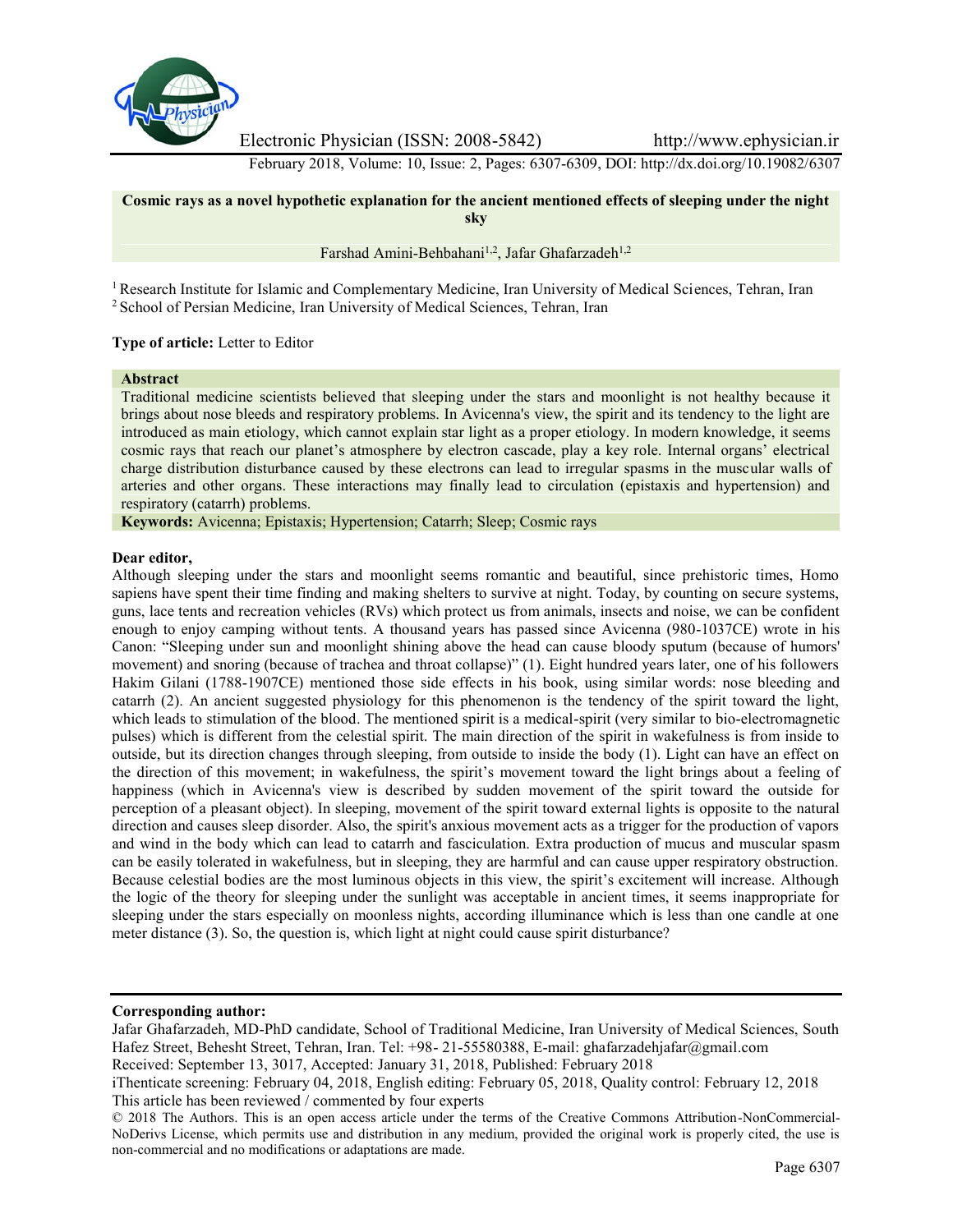

Electronic Physician (ISSN: 2008-5842) http://www.ephysician.ir

February 2018, Volume: 10, Issue: 2, Pages: 6307-6309, DOI: http://dx.doi.org/10.19082/6307



<sup>1</sup> Research Institute for Islamic and Complementary Medicine, Iran University of Medical Sciences, Tehran, Iran <sup>2</sup> School of Persian Medicine, Iran University of Medical Sciences, Tehran, Iran

## **Type of article:** Letter to Editor

# **Abstract**

Traditional medicine scientists believed that sleeping under the stars and moonlight is not healthy because it brings about nose bleeds and respiratory problems. In Avicenna's view, the spirit and its tendency to the light are introduced as main etiology, which cannot explain star light as a proper etiology. In modern knowledge, it seems cosmic rays that reach our planet's atmosphere by electron cascade, play a key role. Internal organs' electrical charge distribution disturbance caused by these electrons can lead to irregular spasms in the muscular walls of arteries and other organs. These interactions may finally lead to circulation (epistaxis and hypertension) and respiratory (catarrh) problems.

**Keywords:** Avicenna; Epistaxis; Hypertension; Catarrh; Sleep; Cosmic rays

#### **Dear editor,**

Although sleeping under the stars and moonlight seems romantic and beautiful, since prehistoric times, Homo sapiens have spent their time finding and making shelters to survive at night. Today, by counting on secure systems, guns, lace tents and recreation vehicles (RVs) which protect us from animals, insects and noise, we can be confident enough to enjoy camping without tents. A thousand years has passed since Avicenna (980-1037CE) wrote in his Canon: "Sleeping under sun and moonlight shining above the head can cause bloody sputum (because of humors' movement) and snoring (because of trachea and throat collapse)" (1). Eight hundred years later, one of his followers Hakim Gilani (1788-1907CE) mentioned those side effects in his book, using similar words: nose bleeding and catarrh (2). An ancient suggested physiology for this phenomenon is the tendency of the spirit toward the light, which leads to stimulation of the blood. The mentioned spirit is a medical-spirit (very similar to bio-electromagnetic pulses) which is different from the celestial spirit. The main direction of the spirit in wakefulness is from inside to outside, but its direction changes through sleeping, from outside to inside the body (1). Light can have an effect on the direction of this movement; in wakefulness, the spirit's movement toward the light brings about a feeling of happiness (which in Avicenna's view is described by sudden movement of the spirit toward the outside for perception of a pleasant object). In sleeping, movement of the spirit toward external lights is opposite to the natural direction and causes sleep disorder. Also, the spirit's anxious movement acts as a trigger for the production of vapors and wind in the body which can lead to catarrh and fasciculation. Extra production of mucus and muscular spasm can be easily tolerated in wakefulness, but in sleeping, they are harmful and can cause upper respiratory obstruction. Because celestial bodies are the most luminous objects in this view, the spirit's excitement will increase. Although the logic of the theory for sleeping under the sunlight was acceptable in ancient times, it seems inappropriate for sleeping under the stars especially on moonless nights, according illuminance which is less than one candle at one meter distance (3). So, the question is, which light at night could cause spirit disturbance?

Received: September 13, 3017, Accepted: January 31, 2018, Published: February 2018

**Corresponding author:**

Jafar Ghafarzadeh, MD-PhD candidate, School of Traditional Medicine, Iran University of Medical Sciences, South Hafez Street, Behesht Street, Tehran, Iran. Tel: +98- 21-55580388, E-mail: ghafarzadehjafar@gmail.com

iThenticate screening: February 04, 2018, English editing: February 05, 2018, Quality control: February 12, 2018 This article has been reviewed / commented by four experts

<sup>© 2018</sup> The Authors. This is an open access article under the terms of the Creative Commons Attribution-NonCommercial- NoDerivs License, which permits use and distribution in any medium, provided the original work is properly cited, the use is non-commercial and no modifications or adaptations are made.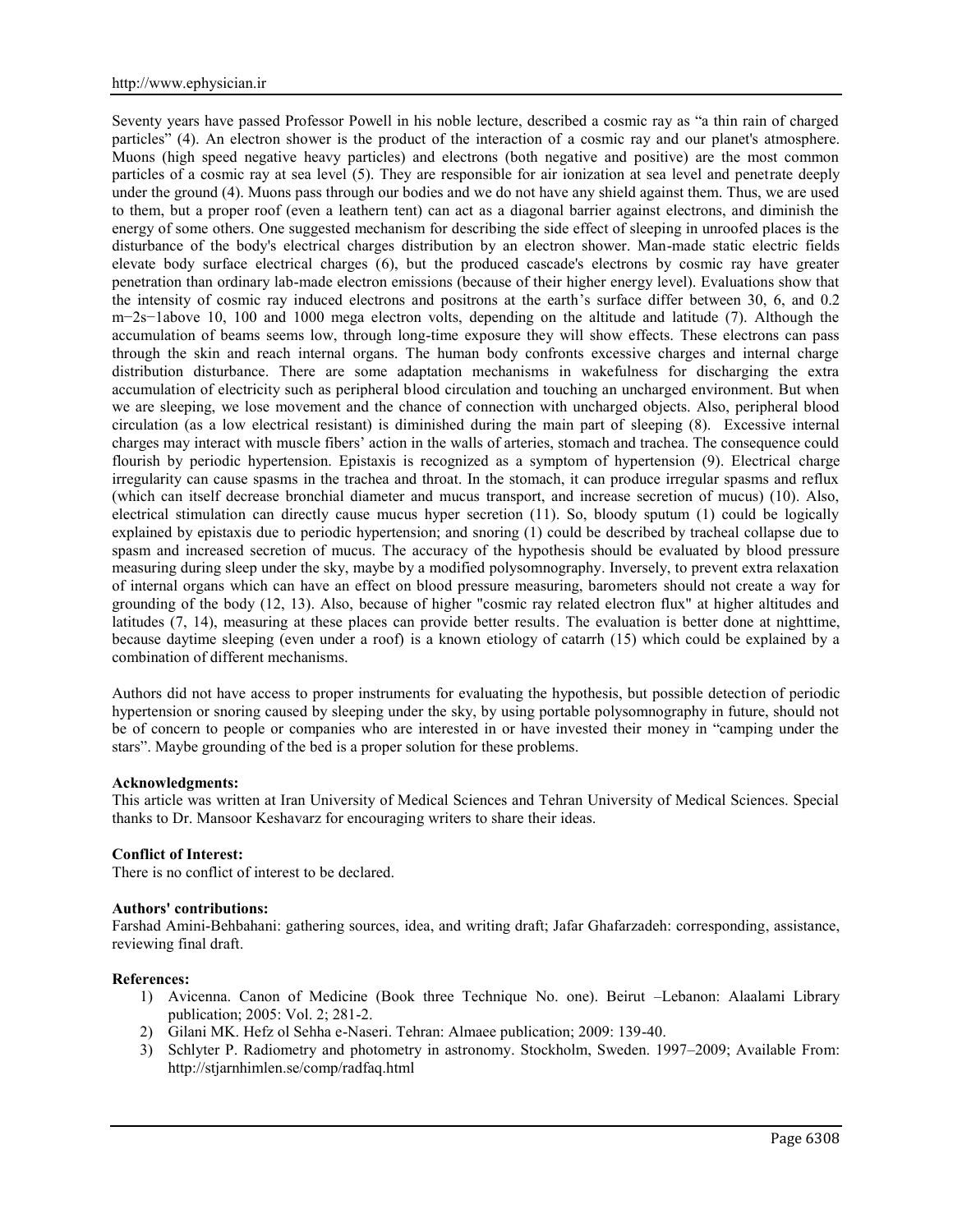Seventy years have passed Professor Powell in his noble lecture, described a cosmic ray as "a thin rain of charged particles" (4). An electron shower is the product of the interaction of a cosmic ray and our planet's atmosphere. Muons (high speed negative heavy particles) and electrons (both negative and positive) are the most common particles of a cosmic ray at sea level (5). They are responsible for air ionization at sea level and penetrate deeply under the ground (4). Muons pass through our bodies and we do not have any shield against them. Thus, we are used to them, but a proper roof (even a leathern tent) can act as a diagonal barrier against electrons, and diminish the energy of some others. One suggested mechanism for describing the side effect of sleeping in unroofed places is the disturbance of the body's electrical charges distribution by an electron shower. Man-made static electric fields elevate body surface electrical charges (6), but the produced cascade's electrons by cosmic ray have greater penetration than ordinary lab-made electron emissions (because of their higher energy level). Evaluations show that the intensity of cosmic ray induced electrons and positrons at the earth's surface differ between 30, 6, and 0.2 m−2s−1above 10, 100 and 1000 mega electron volts, depending on the altitude and latitude (7). Although the accumulation of beams seems low, through long-time exposure they will show effects. These electrons can pass through the skin and reach internal organs. The human body confronts excessive charges and internal charge distribution disturbance. There are some adaptation mechanisms in wakefulness for discharging the extra accumulation of electricity such as peripheral blood circulation and touching an uncharged environment. But when we are sleeping, we lose movement and the chance of connection with uncharged objects. Also, peripheral blood circulation (as a low electrical resistant) is diminished during the main part of sleeping (8). Excessive internal charges may interact with muscle fibers' action in the walls of arteries, stomach and trachea. The consequence could flourish by periodic hypertension. Epistaxis is recognized as a symptom of hypertension (9). Electrical charge irregularity can cause spasms in the trachea and throat. In the stomach, it can produce irregular spasms and reflux (which can itself decrease bronchial diameter and mucus transport, and increase secretion of mucus) (10). Also, electrical stimulation can directly cause mucus hyper secretion (11). So, bloody sputum (1) could be logically explained by epistaxis due to periodic hypertension; and snoring (1) could be described by tracheal collapse due to spasm and increased secretion of mucus. The accuracy of the hypothesis should be evaluated by blood pressure measuring during sleep under the sky, maybe by a modified polysomnography. Inversely, to prevent extra relaxation of internal organs which can have an effect on blood pressure measuring, barometers should not create a way for grounding of the body (12, 13). Also, because of higher "cosmic ray related electron flux" at higher altitudes and latitudes (7, 14), measuring at these places can provide better results. The evaluation is better done at nighttime, because daytime sleeping (even under a roof) is a known etiology of catarrh (15) which could be explained by a combination of different mechanisms.

Authors did not have access to proper instruments for evaluating the hypothesis, but possible detection of periodic hypertension or snoring caused by sleeping under the sky, by using portable polysomnography in future, should not be of concern to people or companies who are interested in or have invested their money in "camping under the stars". Maybe grounding of the bed is a proper solution for these problems.

#### **Acknowledgments:**

This article was written at Iran University of Medical Sciences and Tehran University of Medical Sciences. Special thanks to Dr. Mansoor Keshavarz for encouraging writers to share their ideas.

## **Conflict of Interest:**

There is no conflict of interest to be declared.

## **Authors' contributions:**

Farshad Amini-Behbahani: gathering sources, idea, and writing draft; Jafar Ghafarzadeh: corresponding, assistance, reviewing final draft.

#### **References:**

- 1) Avicenna. Canon of Medicine (Book three Technique No. one). Beirut –Lebanon: Alaalami Library publication; 2005: Vol. 2; 281-2.
- 2) Gilani MK. Hefz ol Sehha e-Naseri. Tehran: Almaee publication; 2009: 139-40.
- 3) Schlyter P. Radiometry and photometry in astronomy. Stockholm, Sweden. 1997–2009; Available From: http://stjarnhimlen.se/comp/radfaq.html